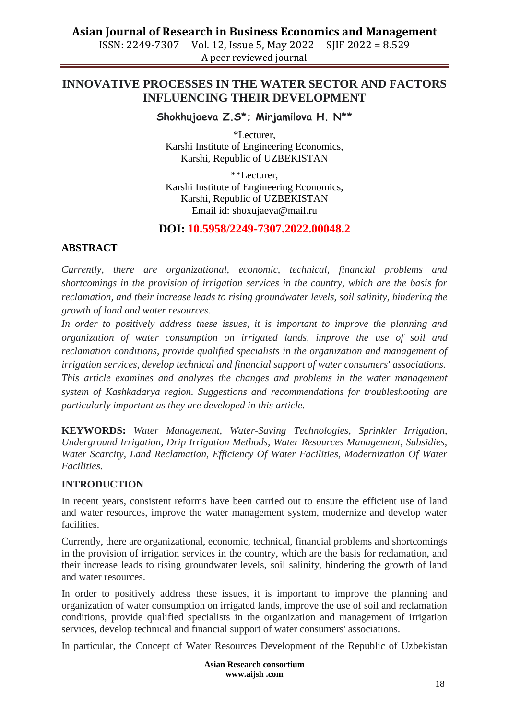**Asian Journal of Research in Business Economics and Management** ISSN: 2249-7307 Vol. 12, Issue 5, May 2022 A peer reviewed journal

# **INNOVATIVE PROCESSES IN THE WATER SECTOR AND FACTORS INFLUENCING THEIR DEVELOPMENT**

# **Shokhujaeva Z.S\*; Mirjamilova H. N\*\***

\*Lecturer, Karshi Institute of Engineering Economics, Karshi, Republic of UZBEKISTAN

\*\*Lecturer, Karshi Institute of Engineering Economics, Karshi, Republic of UZBEKISTAN Email id: [shoxujaeva@mail.ru](mailto:shoxujaeva@mail.ru)

# **DOI: 10.5958/2249-7307.2022.00048.2**

### **ABSTRACT**

*Currently, there are organizational, economic, technical, financial problems and shortcomings in the provision of irrigation services in the country, which are the basis for reclamation, and their increase leads to rising groundwater levels, soil salinity, hindering the growth of land and water resources.*

*In order to positively address these issues, it is important to improve the planning and organization of water consumption on irrigated lands, improve the use of soil and reclamation conditions, provide qualified specialists in the organization and management of irrigation services, develop technical and financial support of water consumers' associations. This article examines and analyzes the changes and problems in the water management system of Kashkadarya region. Suggestions and recommendations for troubleshooting are particularly important as they are developed in this article.*

**KEYWORDS:** *Water Management, Water-Saving Technologies, Sprinkler Irrigation, Underground Irrigation, Drip Irrigation Methods, Water Resources Management, Subsidies, Water Scarcity, Land Reclamation, Efficiency Of Water Facilities, Modernization Of Water Facilities.*

### **INTRODUCTION**

In recent years, consistent reforms have been carried out to ensure the efficient use of land and water resources, improve the water management system, modernize and develop water facilities.

Currently, there are organizational, economic, technical, financial problems and shortcomings in the provision of irrigation services in the country, which are the basis for reclamation, and their increase leads to rising groundwater levels, soil salinity, hindering the growth of land and water resources.

In order to positively address these issues, it is important to improve the planning and organization of water consumption on irrigated lands, improve the use of soil and reclamation conditions, provide qualified specialists in the organization and management of irrigation services, develop technical and financial support of water consumers' associations.

In particular, the Concept of Water Resources Development of the Republic of Uzbekistan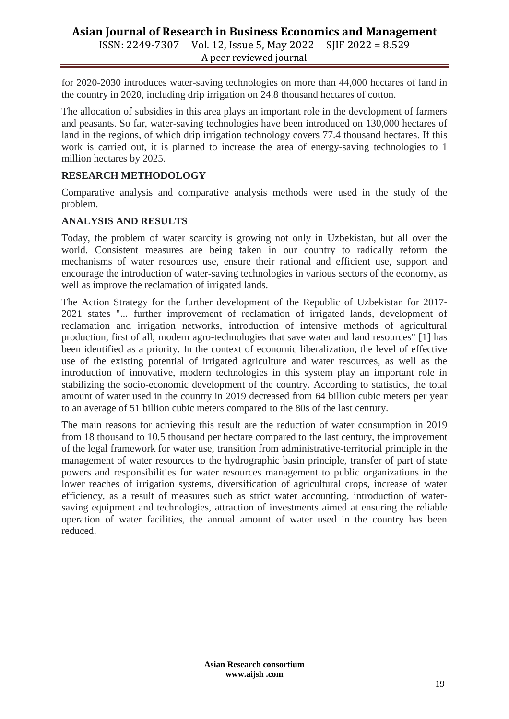# **Asian Journal of Research in Business Economics and Management** ISSN: 2249-7307 Vol. 12, Issue 5, May 2022 SJIF 2022 = 8.529

A peer reviewed journal

for 2020-2030 introduces water-saving technologies on more than 44,000 hectares of land in the country in 2020, including drip irrigation on 24.8 thousand hectares of cotton.

The allocation of subsidies in this area plays an important role in the development of farmers and peasants. So far, water-saving technologies have been introduced on 130,000 hectares of land in the regions, of which drip irrigation technology covers 77.4 thousand hectares. If this work is carried out, it is planned to increase the area of energy-saving technologies to 1 million hectares by 2025.

# **RESEARCH METHODOLOGY**

Comparative analysis and comparative analysis methods were used in the study of the problem.

# **ANALYSIS AND RESULTS**

Today, the problem of water scarcity is growing not only in Uzbekistan, but all over the world. Consistent measures are being taken in our country to radically reform the mechanisms of water resources use, ensure their rational and efficient use, support and encourage the introduction of water-saving technologies in various sectors of the economy, as well as improve the reclamation of irrigated lands.

The Action Strategy for the further development of the Republic of Uzbekistan for 2017- 2021 states "... further improvement of reclamation of irrigated lands, development of reclamation and irrigation networks, introduction of intensive methods of agricultural production, first of all, modern agro-technologies that save water and land resources" [1] has been identified as a priority. In the context of economic liberalization, the level of effective use of the existing potential of irrigated agriculture and water resources, as well as the introduction of innovative, modern technologies in this system play an important role in stabilizing the socio-economic development of the country. According to statistics, the total amount of water used in the country in 2019 decreased from 64 billion cubic meters per year to an average of 51 billion cubic meters compared to the 80s of the last century.

The main reasons for achieving this result are the reduction of water consumption in 2019 from 18 thousand to 10.5 thousand per hectare compared to the last century, the improvement of the legal framework for water use, transition from administrative-territorial principle in the management of water resources to the hydrographic basin principle, transfer of part of state powers and responsibilities for water resources management to public organizations in the lower reaches of irrigation systems, diversification of agricultural crops, increase of water efficiency, as a result of measures such as strict water accounting, introduction of watersaving equipment and technologies, attraction of investments aimed at ensuring the reliable operation of water facilities, the annual amount of water used in the country has been reduced.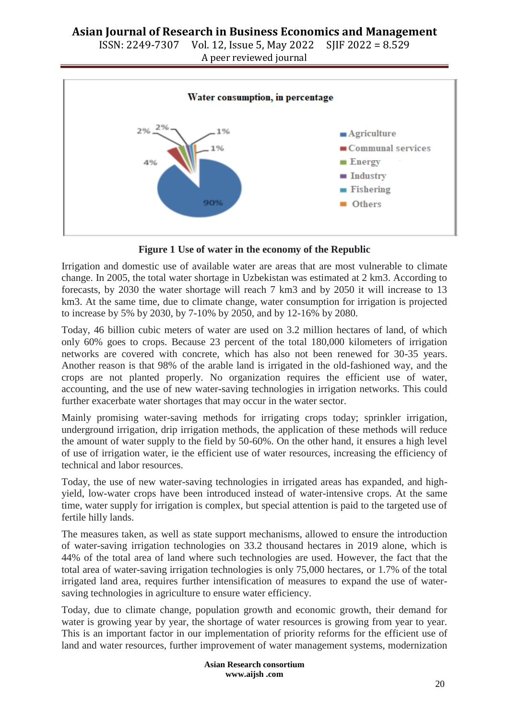



**Figure 1 Use of water in the economy of the Republic**

Irrigation and domestic use of available water are areas that are most vulnerable to climate change. In 2005, the total water shortage in Uzbekistan was estimated at 2 km3. According to forecasts, by 2030 the water shortage will reach 7 km3 and by 2050 it will increase to 13 km3. At the same time, due to climate change, water consumption for irrigation is projected to increase by 5% by 2030, by 7-10% by 2050, and by 12-16% by 2080.

Today, 46 billion cubic meters of water are used on 3.2 million hectares of land, of which only 60% goes to crops. Because 23 percent of the total 180,000 kilometers of irrigation networks are covered with concrete, which has also not been renewed for 30-35 years. Another reason is that 98% of the arable land is irrigated in the old-fashioned way, and the crops are not planted properly. No organization requires the efficient use of water, accounting, and the use of new water-saving technologies in irrigation networks. This could further exacerbate water shortages that may occur in the water sector.

Mainly promising water-saving methods for irrigating crops today; sprinkler irrigation, underground irrigation, drip irrigation methods, the application of these methods will reduce the amount of water supply to the field by 50-60%. On the other hand, it ensures a high level of use of irrigation water, ie the efficient use of water resources, increasing the efficiency of technical and labor resources.

Today, the use of new water-saving technologies in irrigated areas has expanded, and highyield, low-water crops have been introduced instead of water-intensive crops. At the same time, water supply for irrigation is complex, but special attention is paid to the targeted use of fertile hilly lands.

The measures taken, as well as state support mechanisms, allowed to ensure the introduction of water-saving irrigation technologies on 33.2 thousand hectares in 2019 alone, which is 44% of the total area of land where such technologies are used. However, the fact that the total area of water-saving irrigation technologies is only 75,000 hectares, or 1.7% of the total irrigated land area, requires further intensification of measures to expand the use of watersaving technologies in agriculture to ensure water efficiency.

Today, due to climate change, population growth and economic growth, their demand for water is growing year by year, the shortage of water resources is growing from year to year. This is an important factor in our implementation of priority reforms for the efficient use of land and water resources, further improvement of water management systems, modernization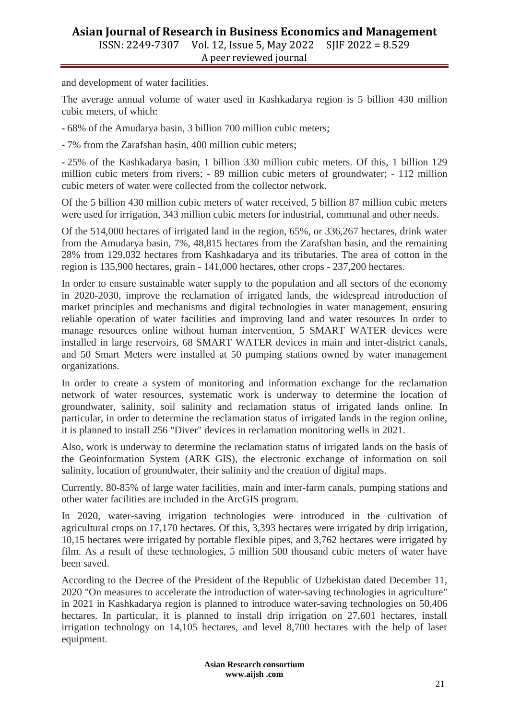## **Asian Journal of Research in Business Economics and Management** ISSN: 2249-7307 Vol. 12, Issue 5, May 2022 SJIF 2022 = 8.529 A peer reviewed journal

and development of water facilities.

The average annual volume of water used in Kashkadarya region is 5 billion 430 million cubic meters, of which:

- 68% of the Amudarya basin, 3 billion 700 million cubic meters;

- 7% from the Zarafshan basin, 400 million cubic meters;

- 25% of the Kashkadarya basin, 1 billion 330 million cubic meters. Of this, 1 billion 129 million cubic meters from rivers; - 89 million cubic meters of groundwater; - 112 million cubic meters of water were collected from the collector network.

Of the 5 billion 430 million cubic meters of water received, 5 billion 87 million cubic meters were used for irrigation, 343 million cubic meters for industrial, communal and other needs.

Of the 514,000 hectares of irrigated land in the region, 65%, or 336,267 hectares, drink water from the Amudarya basin, 7%, 48,815 hectares from the Zarafshan basin, and the remaining 28% from 129,032 hectares from Kashkadarya and its tributaries. The area of cotton in the region is 135,900 hectares, grain - 141,000 hectares, other crops - 237,200 hectares.

In order to ensure sustainable water supply to the population and all sectors of the economy in 2020-2030, improve the reclamation of irrigated lands, the widespread introduction of market principles and mechanisms and digital technologies in water management, ensuring reliable operation of water facilities and improving land and water resources In order to manage resources online without human intervention, 5 SMART WATER devices were installed in large reservoirs, 68 SMART WATER devices in main and inter-district canals, and 50 Smart Meters were installed at 50 pumping stations owned by water management organizations.

In order to create a system of monitoring and information exchange for the reclamation network of water resources, systematic work is underway to determine the location of groundwater, salinity, soil salinity and reclamation status of irrigated lands online. In particular, in order to determine the reclamation status of irrigated lands in the region online, it is planned to install 256 "Diver" devices in reclamation monitoring wells in 2021.

Also, work is underway to determine the reclamation status of irrigated lands on the basis of the Geoinformation System (ARK GIS), the electronic exchange of information on soil salinity, location of groundwater, their salinity and the creation of digital maps.

Currently, 80-85% of large water facilities, main and inter-farm canals, pumping stations and other water facilities are included in the ArcGIS program.

In 2020, water-saving irrigation technologies were introduced in the cultivation of agricultural crops on 17,170 hectares. Of this, 3,393 hectares were irrigated by drip irrigation, 10,15 hectares were irrigated by portable flexible pipes, and 3,762 hectares were irrigated by film. As a result of these technologies, 5 million 500 thousand cubic meters of water have been saved.

According to the Decree of the President of the Republic of Uzbekistan dated December 11, 2020 "On measures to accelerate the introduction of water-saving technologies in agriculture" in 2021 in Kashkadarya region is planned to introduce water-saving technologies on 50,406 hectares. In particular, it is planned to install drip irrigation on 27,601 hectares, install irrigation technology on 14,105 hectares, and level 8,700 hectares with the help of laser equipment.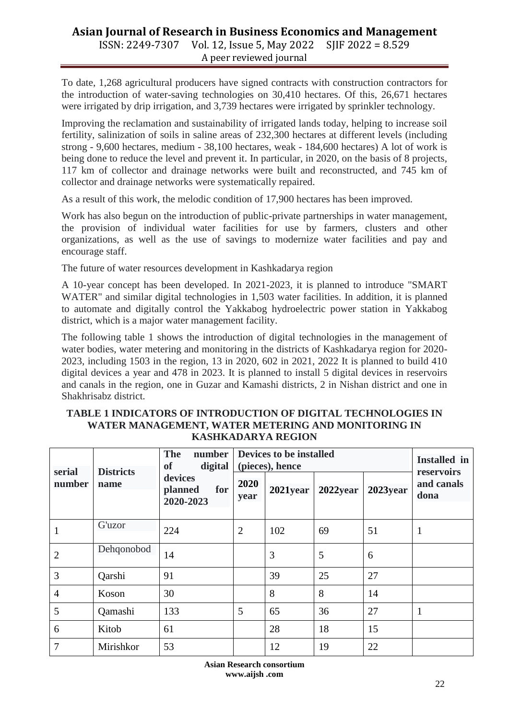## **Asian Journal of Research in Business Economics and Management** ISSN: 2249-7307 Vol. 12, Issue 5, May 2022 SJIF 2022 = 8.529

A peer reviewed journal

To date, 1,268 agricultural producers have signed contracts with construction contractors for the introduction of water-saving technologies on 30,410 hectares. Of this, 26,671 hectares were irrigated by drip irrigation, and 3,739 hectares were irrigated by sprinkler technology.

Improving the reclamation and sustainability of irrigated lands today, helping to increase soil fertility, salinization of soils in saline areas of 232,300 hectares at different levels (including strong - 9,600 hectares, medium - 38,100 hectares, weak - 184,600 hectares) A lot of work is being done to reduce the level and prevent it. In particular, in 2020, on the basis of 8 projects, 117 km of collector and drainage networks were built and reconstructed, and 745 km of collector and drainage networks were systematically repaired.

As a result of this work, the melodic condition of 17,900 hectares has been improved.

Work has also begun on the introduction of public-private partnerships in water management, the provision of individual water facilities for use by farmers, clusters and other organizations, as well as the use of savings to modernize water facilities and pay and encourage staff.

The future of water resources development in Kashkadarya region

A 10-year concept has been developed. In 2021-2023, it is planned to introduce "SMART WATER" and similar digital technologies in 1,503 water facilities. In addition, it is planned to automate and digitally control the Yakkabog hydroelectric power station in Yakkabog district, which is a major water management facility.

The following table 1 shows the introduction of digital technologies in the management of water bodies, water metering and monitoring in the districts of Kashkadarya region for 2020- 2023, including 1503 in the region, 13 in 2020, 602 in 2021, 2022 It is planned to build 410 digital devices a year and 478 in 2023. It is planned to install 5 digital devices in reservoirs and canals in the region, one in Guzar and Kamashi districts, 2 in Nishan district and one in Shakhrisabz district.

#### **TABLE 1 INDICATORS OF INTRODUCTION OF DIGITAL TECHNOLOGIES IN WATER MANAGEMENT, WATER METERING AND MONITORING IN KASHKADARYA REGION**

| serial         | <b>Districts</b> | <b>The</b><br>number<br><b>of</b><br>digital | <b>Devices to be installed</b><br>(pieces), hence | <b>Installed</b> in<br>reservoirs |          |          |                    |  |
|----------------|------------------|----------------------------------------------|---------------------------------------------------|-----------------------------------|----------|----------|--------------------|--|
| number         | name             | devices<br>planned<br>for<br>2020-2023       | 2020<br>year                                      | $2021$ year                       | 2022year | 2023year | and canals<br>dona |  |
| 1              | G'uzor           | 224                                          | $\overline{2}$                                    | 102                               | 69       | 51       | $\bf{I}$           |  |
| $\overline{2}$ | Dehqonobod       | 14                                           |                                                   | 3                                 | 5        | 6        |                    |  |
| 3              | Qarshi           | 91                                           |                                                   | 39                                | 25       | 27       |                    |  |
| $\overline{4}$ | Koson            | 30                                           |                                                   | 8                                 | 8        | 14       |                    |  |
| 5              | Qamashi          | 133                                          | 5                                                 | 65                                | 36       | 27       | 1                  |  |
| 6              | Kitob            | 61                                           |                                                   | 28                                | 18       | 15       |                    |  |
| $\overline{7}$ | Mirishkor        | 53                                           |                                                   | 12                                | 19       | 22       |                    |  |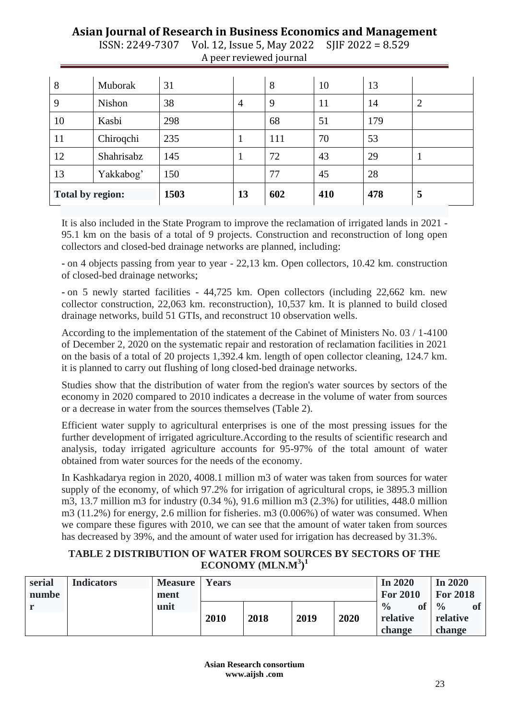# **Asian Journal of Research in Business Economics and Management**

| 8                       | Muborak    | 31   |                | 8   | 10  | 13  |                |
|-------------------------|------------|------|----------------|-----|-----|-----|----------------|
| 9                       | Nishon     | 38   | $\overline{4}$ | 9   | 11  | 14  | $\overline{2}$ |
| 10                      | Kasbi      | 298  |                | 68  | 51  | 179 |                |
| 11                      | Chiroqchi  | 235  | 1              | 111 | 70  | 53  |                |
| 12                      | Shahrisabz | 145  |                | 72  | 43  | 29  |                |
| 13<br>Yakkabog'         |            | 150  |                | 77  | 45  | 28  |                |
| <b>Total by region:</b> |            | 1503 | 13             | 602 | 410 | 478 | 5              |

ISSN: 2249-7307 Vol. 12, Issue 5, May 2022 SJIF 2022 = 8.529 A peer reviewed journal

It is also included in the State Program to improve the reclamation of irrigated lands in 2021 - 95.1 km on the basis of a total of 9 projects. Construction and reconstruction of long open collectors and closed-bed drainage networks are planned, including:

- on 4 objects passing from year to year - 22,13 km. Open collectors, 10.42 km. construction of closed-bed drainage networks;

- on 5 newly started facilities - 44,725 km. Open collectors (including 22,662 km. new collector construction, 22,063 km. reconstruction), 10,537 km. It is planned to build closed drainage networks, build 51 GTIs, and reconstruct 10 observation wells.

According to the implementation of the statement of the Cabinet of Ministers No. 03 / 1-4100 of December 2, 2020 on the systematic repair and restoration of reclamation facilities in 2021 on the basis of a total of 20 projects 1,392.4 km. length of open collector cleaning, 124.7 km. it is planned to carry out flushing of long closed-bed drainage networks.

Studies show that the distribution of water from the region's water sources by sectors of the economy in 2020 compared to 2010 indicates a decrease in the volume of water from sources or a decrease in water from the sources themselves (Table 2).

Efficient water supply to agricultural enterprises is one of the most pressing issues for the further development of irrigated agriculture.According to the results of scientific research and analysis, today irrigated agriculture accounts for 95-97% of the total amount of water obtained from water sources for the needs of the economy.

In Kashkadarya region in 2020, 4008.1 million m3 of water was taken from sources for water supply of the economy, of which 97.2% for irrigation of agricultural crops, ie 3895.3 million m3, 13.7 million m3 for industry (0.34 %), 91.6 million m3 (2.3%) for utilities, 448.0 million m3 (11.2%) for energy, 2.6 million for fisheries. m3 (0.006%) of water was consumed. When we compare these figures with 2010, we can see that the amount of water taken from sources has decreased by 39%, and the amount of water used for irrigation has decreased by 31.3%.

# **TABLE 2 DISTRIBUTION OF WATER FROM SOURCES BY SECTORS OF THE ECONOMY (MLN.M<sup>3</sup> ) 1**

| serial | <b>Indicators</b> | <b>Measure</b> | Years |      |      |      | In $2020$                  | In $2020$                  |
|--------|-------------------|----------------|-------|------|------|------|----------------------------|----------------------------|
| numbe  |                   | ment           |       |      |      |      | <b>For 2010</b>            | <b>For 2018</b>            |
|        |                   | unit           |       |      |      |      | $\frac{0}{0}$<br><b>of</b> | <b>of</b><br>$\frac{0}{0}$ |
|        |                   |                | 2010  | 2018 | 2019 | 2020 | relative                   | relative                   |
|        |                   |                |       |      |      |      | change                     | change                     |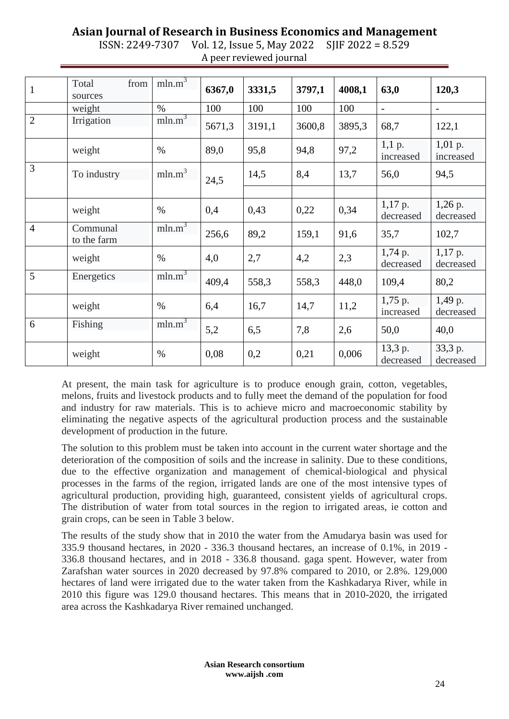# **Asian Journal of Research in Business Economics and Management**

| ISSN: 2249-7307 Vol. 12, Issue 5, May 2022 SJIF 2022 = 8.529 |  |
|--------------------------------------------------------------|--|
| A peer reviewed journal                                      |  |

| $\mathbf{1}$   | from<br>Total<br>sources | mln.m <sup>3</sup> | 6367,0 | 3331,5 | 3797,1 | 4008,1 | 63,0                     | 120,3                    |
|----------------|--------------------------|--------------------|--------|--------|--------|--------|--------------------------|--------------------------|
|                | weight                   | $\%$               | 100    | 100    | 100    | 100    | $\overline{\phantom{a}}$ | $\overline{\phantom{a}}$ |
| $\overline{2}$ | Irrigation               | mln.m <sup>3</sup> | 5671,3 | 3191,1 | 3600,8 | 3895,3 | 68,7                     | 122,1                    |
|                | weight                   | $\%$               | 89,0   | 95,8   | 94,8   | 97,2   | $1,1$ p.<br>increased    | $1,01$ p.<br>increased   |
| 3              | To industry              | mln.m <sup>3</sup> | 24,5   | 14,5   | 8,4    | 13,7   | 56,0                     | 94,5                     |
|                |                          |                    |        |        |        |        |                          |                          |
|                | weight                   | $\%$               | 0,4    | 0,43   | 0,22   | 0,34   | $1,17$ p.<br>decreased   | $1,26$ p.<br>decreased   |
| $\overline{4}$ | Communal<br>to the farm  | mln.m <sup>3</sup> | 256,6  | 89,2   | 159,1  | 91,6   | 35,7                     | 102,7                    |
|                | weight                   | $\%$               | 4,0    | 2,7    | 4,2    | 2,3    | 1,74 p.<br>decreased     | $1,17$ p.<br>decreased   |
| 5              | Energetics               | mln.m <sup>3</sup> | 409,4  | 558,3  | 558,3  | 448,0  | 109,4                    | 80,2                     |
|                | weight                   | $\%$               | 6,4    | 16,7   | 14,7   | 11,2   | $1,75$ p.<br>increased   | 1,49 p.<br>decreased     |
| 6              | Fishing                  | mln.m <sup>3</sup> | 5,2    | 6,5    | 7,8    | 2,6    | 50,0                     | 40,0                     |
|                | weight                   | $\%$               | 0,08   | 0,2    | 0,21   | 0,006  | 13,3 p.<br>decreased     | 33,3 p.<br>decreased     |

At present, the main task for agriculture is to produce enough grain, cotton, vegetables, melons, fruits and livestock products and to fully meet the demand of the population for food and industry for raw materials. This is to achieve micro and macroeconomic stability by eliminating the negative aspects of the agricultural production process and the sustainable development of production in the future.

The solution to this problem must be taken into account in the current water shortage and the deterioration of the composition of soils and the increase in salinity. Due to these conditions, due to the effective organization and management of chemical-biological and physical processes in the farms of the region, irrigated lands are one of the most intensive types of agricultural production, providing high, guaranteed, consistent yields of agricultural crops. The distribution of water from total sources in the region to irrigated areas, ie cotton and grain crops, can be seen in Table 3 below.

The results of the study show that in 2010 the water from the Amudarya basin was used for 335.9 thousand hectares, in 2020 - 336.3 thousand hectares, an increase of 0.1%, in 2019 - 336.8 thousand hectares, and in 2018 - 336.8 thousand. gaga spent. However, water from Zarafshan water sources in 2020 decreased by 97.8% compared to 2010, or 2.8%. 129,000 hectares of land were irrigated due to the water taken from the Kashkadarya River, while in 2010 this figure was 129.0 thousand hectares. This means that in 2010-2020, the irrigated area across the Kashkadarya River remained unchanged.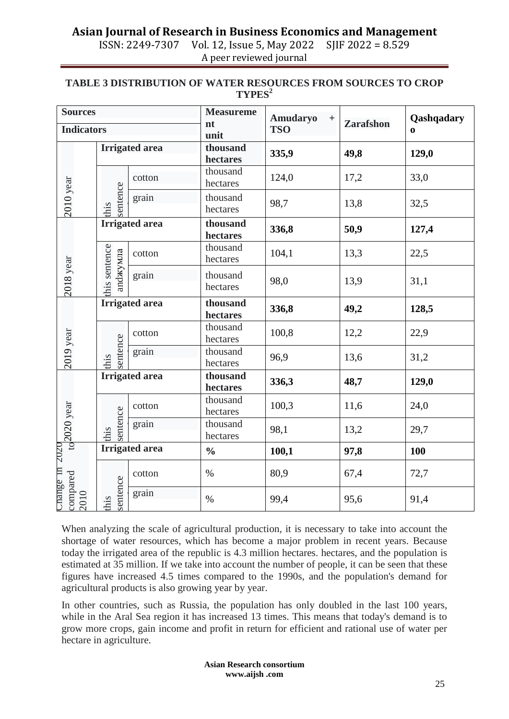# **Asian Journal of Research in Business Economics and Management**

ISSN: 2249-7307 Vol. 12, Issue 5, May 2022 SJIF 2022 = 8.529 A peer reviewed journal

#### **TABLE 3 DISTRIBUTION OF WATER RESOURCES FROM SOURCES TO CROP TYPES<sup>2</sup>**

| <b>Sources</b>           |                          |                       | <b>Measureme</b><br>nt       | Amudaryo<br>$\boldsymbol{+}$ |                  | Qashqadary |  |
|--------------------------|--------------------------|-----------------------|------------------------------|------------------------------|------------------|------------|--|
|                          | <b>Indicators</b>        |                       |                              | <b>TSO</b>                   | <b>Zarafshon</b> | $\bf{0}$   |  |
|                          |                          | <b>Irrigated</b> area | unit<br>thousand<br>hectares | 335,9                        | 49,8             | 129,0      |  |
| 2010 year                |                          | cotton                | thousand<br>hectares         | 124,0                        | 17,2             | 33,0       |  |
|                          | sentence<br>this         | grain                 | thousand<br>hectares         | 98,7                         | 13,8             | 32,5       |  |
|                          |                          | <b>Irrigated</b> area | thousand<br>hectares         | 336,8                        | 50,9             | 127,4      |  |
| 2018 year                |                          | cotton                | thousand<br>hectares         | 104,1                        | 13,3             | 22,5       |  |
|                          | his sentence<br>апdжумла | grain                 | thousand<br>hectares         | 98,0                         | 13,9             | 31,1       |  |
|                          | <b>Irrigated</b> area    |                       | thousand<br>hectares         | 336,8                        | 49,2             | 128,5      |  |
|                          |                          | cotton                | thousand<br>hectares         | 100,8                        | 12,2             | 22,9       |  |
| 2019 year                | sentence<br>this         | grain                 | thousand<br>hectares         | 96,9                         | 13,6             | 31,2       |  |
|                          | <b>Irrigated</b> area    |                       | thousand<br>hectares         | 336,3                        | 48,7             | 129,0      |  |
|                          |                          | cotton                | thousand<br>hectares         | 100,3                        | 11,6             | 24,0       |  |
| $_{\text{to}}$ 2020 year | sentence<br>his          | grain                 | thousand<br>hectares         | 98,1                         | 13,2             | 29,7       |  |
|                          |                          | <b>Irrigated</b> area | $\frac{0}{0}$                | 100,1                        | 97,8             | 100        |  |
| Change in 2020           |                          | cotton                | $\%$                         | 80,9                         | 67,4             | 72,7       |  |
| compared<br>2010         | sentence<br>this         | grain                 | $\%$                         | 99,4                         | 95,6             | 91,4       |  |

When analyzing the scale of agricultural production, it is necessary to take into account the shortage of water resources, which has become a major problem in recent years. Because today the irrigated area of the republic is 4.3 million hectares. hectares, and the population is estimated at 35 million. If we take into account the number of people, it can be seen that these figures have increased 4.5 times compared to the 1990s, and the population's demand for agricultural products is also growing year by year.

In other countries, such as Russia, the population has only doubled in the last 100 years, while in the Aral Sea region it has increased 13 times. This means that today's demand is to grow more crops, gain income and profit in return for efficient and rational use of water per hectare in agriculture.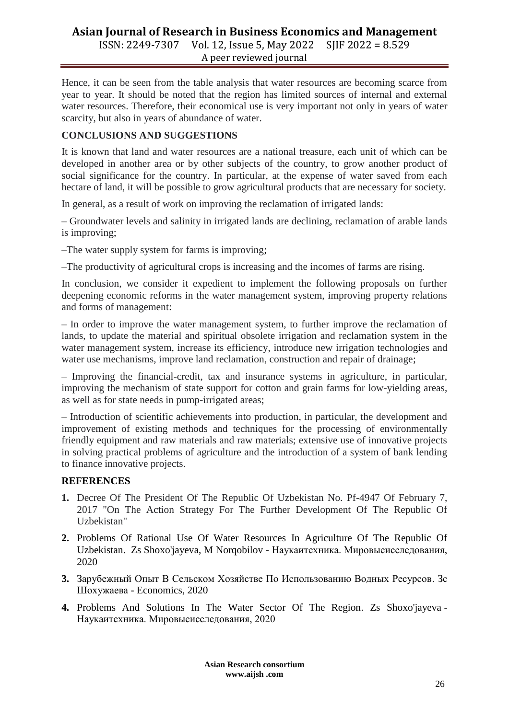# **Asian Journal of Research in Business Economics and Management** ISSN: 2249-7307 Vol. 12, Issue 5, May 2022 SJIF 2022 = 8.529

A peer reviewed journal

Hence, it can be seen from the table analysis that water resources are becoming scarce from year to year. It should be noted that the region has limited sources of internal and external water resources. Therefore, their economical use is very important not only in years of water scarcity, but also in years of abundance of water.

# **CONCLUSIONS AND SUGGESTIONS**

It is known that land and water resources are a national treasure, each unit of which can be developed in another area or by other subjects of the country, to grow another product of social significance for the country. In particular, at the expense of water saved from each hectare of land, it will be possible to grow agricultural products that are necessary for society.

In general, as a result of work on improving the reclamation of irrigated lands:

– Groundwater levels and salinity in irrigated lands are declining, reclamation of arable lands is improving;

–The water supply system for farms is improving;

–The productivity of agricultural crops is increasing and the incomes of farms are rising.

In conclusion, we consider it expedient to implement the following proposals on further deepening economic reforms in the water management system, improving property relations and forms of management:

– In order to improve the water management system, to further improve the reclamation of lands, to update the material and spiritual obsolete irrigation and reclamation system in the water management system, increase its efficiency, introduce new irrigation technologies and water use mechanisms, improve land reclamation, construction and repair of drainage;

– Improving the financial-credit, tax and insurance systems in agriculture, in particular, improving the mechanism of state support for cotton and grain farms for low-yielding areas, as well as for state needs in pump-irrigated areas;

– Introduction of scientific achievements into production, in particular, the development and improvement of existing methods and techniques for the processing of environmentally friendly equipment and raw materials and raw materials; extensive use of innovative projects in solving practical problems of agriculture and the introduction of a system of bank lending to finance innovative projects.

# **REFERENCES**

- **1.** Decree Of The President Of The Republic Of Uzbekistan No. Pf-4947 Of February 7, 2017 "On The Action Strategy For The Further Development Of The Republic Of Uzbekistan"
- **2.** [Problems Of Rational Use Of Water Resources In Agriculture Of The Republic Of](https://scholar.google.com/scholar?oi=bibs&cluster=6607790190047069066&btnI=1&hl=ru)  [Uzbekistan.](https://scholar.google.com/scholar?oi=bibs&cluster=6607790190047069066&btnI=1&hl=ru) Zs Shoxo'jayeva, M Norqobilov - Наукаитехника. Мировыеисследования, 2020
- **3.** [Зарубежный Опыт В Сельском Хозяйстве По Использованию Водных Ресурсов.](https://scholar.google.com/scholar?oi=bibs&cluster=18149600658059632641&btnI=1&hl=ru) Зс Шохужаева - Economics, 2020
- **4.** [Problems And Solutions In The Water Sector Of The Region.](https://scholar.google.com/scholar?oi=bibs&cluster=16527903556951154207&btnI=1&hl=ru) Zs Shoxo'jayeva Наукаитехника. Мировыеисследования, 2020